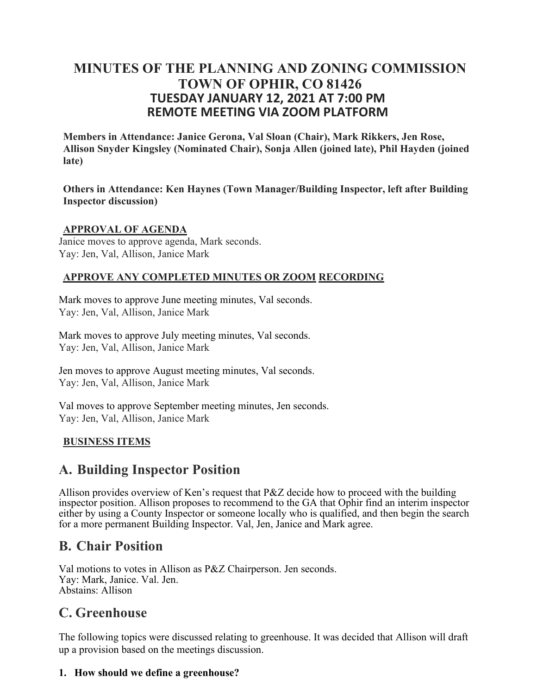### **MINUTES OF THE PLANNING AND ZONING COMMISSION TOWN OF OPHIR, CO 81426 TUESDAY JANUARY 12, 2021 AT 7:00 PM REMOTE MEETING VIA ZOOM PLATFORM**

**Members in Attendance: Janice Gerona, Val Sloan (Chair), Mark Rikkers, Jen Rose, Allison Snyder Kingsley (Nominated Chair), Sonja Allen (joined late), Phil Hayden (joined late)**

**Others in Attendance: Ken Haynes (Town Manager/Building Inspector, left after Building Inspector discussion)**

#### **APPROVAL OF AGENDA**

Janice moves to approve agenda, Mark seconds. Yay: Jen, Val, Allison, Janice Mark

#### **APPROVE ANY COMPLETED MINUTES OR ZOOM RECORDING**

Mark moves to approve June meeting minutes, Val seconds. Yay: Jen, Val, Allison, Janice Mark

Mark moves to approve July meeting minutes, Val seconds. Yay: Jen, Val, Allison, Janice Mark

Jen moves to approve August meeting minutes, Val seconds. Yay: Jen, Val, Allison, Janice Mark

Val moves to approve September meeting minutes, Jen seconds. Yay: Jen, Val, Allison, Janice Mark

### **BUSINESS ITEMS**

## **A. Building Inspector Position**

Allison provides overview of Ken's request that P&Z decide how to proceed with the building inspector position. Allison proposes to recommend to the GA that Ophir find an interim inspector either by using a County Inspector or someone locally who is qualified, and then begin the search for a more permanent Building Inspector. Val, Jen, Janice and Mark agree.

## **B. Chair Position**

Val motions to votes in Allison as P&Z Chairperson. Jen seconds. Yay: Mark, Janice. Val. Jen. Abstains: Allison

# **C. Greenhouse**

The following topics were discussed relating to greenhouse. It was decided that Allison will draft up a provision based on the meetings discussion.

#### **1. How should we define a greenhouse?**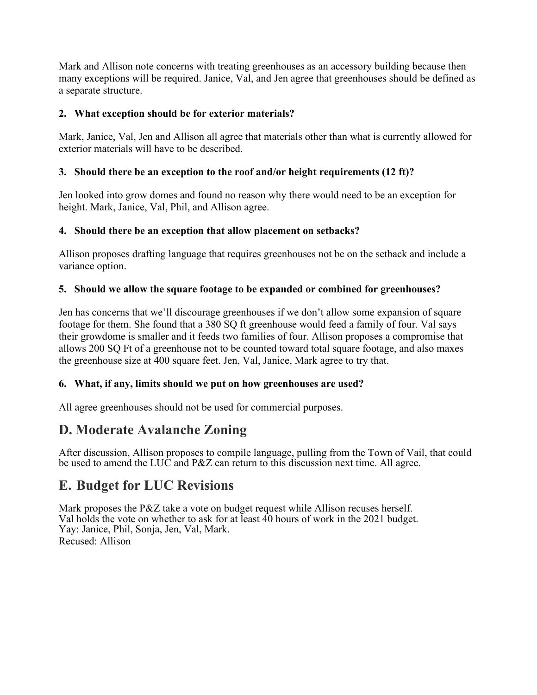Mark and Allison note concerns with treating greenhouses as an accessory building because then many exceptions will be required. Janice, Val, and Jen agree that greenhouses should be defined as a separate structure.

#### **2. What exception should be for exterior materials?**

Mark, Janice, Val, Jen and Allison all agree that materials other than what is currently allowed for exterior materials will have to be described.

#### **3. Should there be an exception to the roof and/or height requirements (12 ft)?**

Jen looked into grow domes and found no reason why there would need to be an exception for height. Mark, Janice, Val, Phil, and Allison agree.

#### **4. Should there be an exception that allow placement on setbacks?**

Allison proposes drafting language that requires greenhouses not be on the setback and include a variance option.

#### **5. Should we allow the square footage to be expanded or combined for greenhouses?**

Jen has concerns that we'll discourage greenhouses if we don't allow some expansion of square footage for them. She found that a 380 SQ ft greenhouse would feed a family of four. Val says their growdome is smaller and it feeds two families of four. Allison proposes a compromise that allows 200 SQ Ft of a greenhouse not to be counted toward total square footage, and also maxes the greenhouse size at 400 square feet. Jen, Val, Janice, Mark agree to try that.

### **6. What, if any, limits should we put on how greenhouses are used?**

All agree greenhouses should not be used for commercial purposes.

# **D. Moderate Avalanche Zoning**

After discussion, Allison proposes to compile language, pulling from the Town of Vail, that could be used to amend the LUC and P&Z can return to this discussion next time. All agree.

# **E. Budget for LUC Revisions**

Mark proposes the P&Z take a vote on budget request while Allison recuses herself. Val holds the vote on whether to ask for at least  $\hat{40}$  hours of work in the 2021 budget. Yay: Janice, Phil, Sonja, Jen, Val, Mark. Recused: Allison